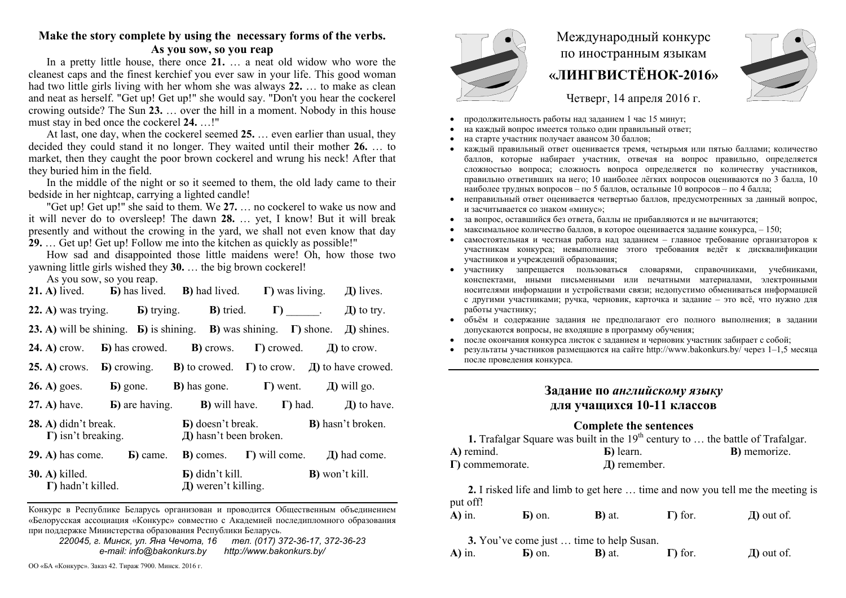# **Make the story complete by using the necessary forms of the verbs.**

**As you sow, so you reap** 

In a pretty little house, there once **21.** … a neat old widow who wore the cleanest caps and the finest kerchief you ever saw in your life. This good woman had two little girls living with her whom she was always **22.** … to make as clean and neat as herself. "Get up! Get up!" she would say. "Don't you hear the cockerel crowing outside? The Sun **23.** … over the hill in a moment. Nobody in this house must stay in bed once the cockerel **24.** …!"

At last, one day, when the cockerel seemed 25. even earlier than usual, they decided they could stand it no longer. They waited until their mother **26.** … to market, then they caught the poor brown cockerel and wrung his neck! After that they buried him in the field.

In the middle of the night or so it seemed to them, the old lady came to their bedside in her nightcap, carrying a lighted candle!

"Get up! Get up!" she said to them. We **27.** … no cockerel to wake us now and it will never do to oversleep! The dawn **28.** … yet, I know! But it will break presently and without the crowing in the yard, we shall not even know that day **29.** … Get up! Get up! Follow me into the kitchen as quickly as possible!"

How sad and disappointed those little maidens were! Oh, how those two yawning little girls wished they **30.** … the big brown cockerel!

As you sow, so you reap.

|                       |                                                       |                          | <b>21.</b> A) lived. <b>b</b> ) has lived. <b>B</b> ) had lived. <b>I</b> ) was living. <b>J</b> ) lives.                                   |
|-----------------------|-------------------------------------------------------|--------------------------|---------------------------------------------------------------------------------------------------------------------------------------------|
|                       |                                                       |                          | 22. A) was trying. <b>b</b> ) trying. <b>b</b> ) tried. $\Gamma$ _____. A) to try.                                                          |
|                       |                                                       |                          | <b>23.</b> A) will be shining. <b>b</b> ) is shining. <b>b</b> ) was shining. <b><math>\Gamma</math></b> ) shone. <b><i>A</i></b> ) shines. |
|                       |                                                       |                          | <b>24.</b> A) crow. <b>b</b> ) has crowed. <b>b</b> ) crows. <b>c</b> ) crowed. $\Box$ to crow.                                             |
|                       |                                                       |                          | <b>25.</b> A) crows. <b>b</b> ) crowing. <b>b</b> ) to crowed. <b><math>\Gamma</math></b> ) to crow. <b><i>II</i></b> ) to have crowed.     |
|                       |                                                       |                          | <b>26.</b> A) goes. <b>b</b> ) gone. <b>b</b> ) has gone. <b>c</b> ) went. $\Box$ will go.                                                  |
|                       |                                                       |                          | 27. A) have. <b>b</b> ) are having. <b>b</b> ) will have. <b>c</b> ) had. $\Box$ I) to have.                                                |
|                       | $(28. A)$ didn't break.<br>$\Gamma$ ) isn't breaking. | Д) hasn't been broken.   | <b>B</b> ) doesn't break. <b>B</b> ) hasn't broken.                                                                                         |
|                       | <b>29.</b> A) has come. $\qquad$ <b>b</b> ) came.     |                          | <b>B</b> ) comes. $\Gamma$ ) will come. $\Box$ had come.                                                                                    |
| <b>30. A)</b> killed. | $\Gamma$ ) hadn't killed.                             | $\pi$ ) weren't killing. | <b>B</b> ) won't kill. <b>B</b> ) won't kill.                                                                                               |

Конкурс <sup>в</sup> Республике Беларусь организован <sup>и</sup> проводится Общественным объединением «Белорусская ассоциация «Конкурс» совместно <sup>с</sup> Академией последипломного образования при поддержке Министерства образования Республики Беларусь.

*220045, <sup>г</sup>. Минск, ул. Яна Чечота, 16 тел. (017) 372-36-17, 372-36-23 e-mail: info@bakonkurs.by http://www.bakonkurs.by/* 

ОО «БА «Конкурс». Заказ 42. Тираж 7900. Минск. 2016 <sup>г</sup>.



# Международный конкурс по иностранным языкам **«ЛИНГВИСТЁНОК-2016»**



Четверг, 14 апреля 2016 г.

- . продолжительность работы над заданием 1 час 15 минут;
- ۰ на каждый вопрос имеется только один правильный ответ;
- . на старте участник получает авансом 30 баллов;
- . каждый правильный ответ оценивается тремя, четырьмя или пятью баллами; количество баллов, которые набирает участник, отвечая на вопрос правильно, определяется сложностью вопроса; сложность вопроса определяется по количеству участников, правильно ответивших на него; 10 наиболее лёгких вопросов оцениваются по 3 балла, 10 наиболее трудных вопросов – по 5 баллов, остальные 10 вопросов – по 4 балла;
- . неправильный ответ оценивается четвертью баллов, предусмотренных за данный вопрос, и засчитывается со знаком «минус»;
- ۰ за вопрос, оставшийся без ответа, баллы не прибавляются <sup>и</sup> не вычитаются;
- . • максимальное количество баллов, в которое оценивается задание конкурса,  $-150$ ;
- ۰ самостоятельная и честная работа над заданием – главное требование организаторов <sup>к</sup> участникам конкурса; невыполнение этого требования ведёт <sup>к</sup> дисквалификации участников <sup>и</sup> учреждений образования;
- участнику запрещается пользоваться словарями, справочниками, учебниками, конспектами, иными письменными или печатными материалами, электронными носителями информации <sup>и</sup> устройствами связи; недопустимо обмениваться информацией с другими участниками; ручка, черновик, карточка <sup>и</sup> задание – это всё, что нужно для работы участнику;
- . объём <sup>и</sup> содержание задания не предполагают его полного выполнения; <sup>в</sup> задании допускаются вопросы, не входящие <sup>в</sup> программу обучения;
- после окончания конкурса листок <sup>с</sup> заданием <sup>и</sup> черновик участник забирает <sup>с</sup> собой;
- ۰ результаты участников размещаются на сайте http://www.bakonkurs.by/ через 1–1,5 месяца после проведения конкурса.

## **Задание по** *английскому языку* **для учащихся 10-11 классов**

#### **Complete the sentences**

| 1. Trafalgar Square was built in the $19th$ century to  the battle of Trafalgar. |                   |                      |
|----------------------------------------------------------------------------------|-------------------|----------------------|
| A) remind.                                                                       | <b>b</b> ) learn. | <b>B</b> ) memorize. |
| $\Gamma$ ) commemorate.                                                          | $\pi$ ) remember. |                      |

**2.** I risked life and limb to get here … time and now you tell me the meeting is put off!

| $A)$ in. | $\mathbf{E}$ ) on. | <b>B</b> ) at. | $\Gamma$ ) for. | $\pi$ ) out of. |
|----------|--------------------|----------------|-----------------|-----------------|
|----------|--------------------|----------------|-----------------|-----------------|

**3.** You've come just … time to help Susan.

| $A)$ in. | $\mathbf{E}$ ) on. | <b>B</b> ) at. | $\Gamma$ ) for. | $\pi$ ) out of. |
|----------|--------------------|----------------|-----------------|-----------------|
|----------|--------------------|----------------|-----------------|-----------------|